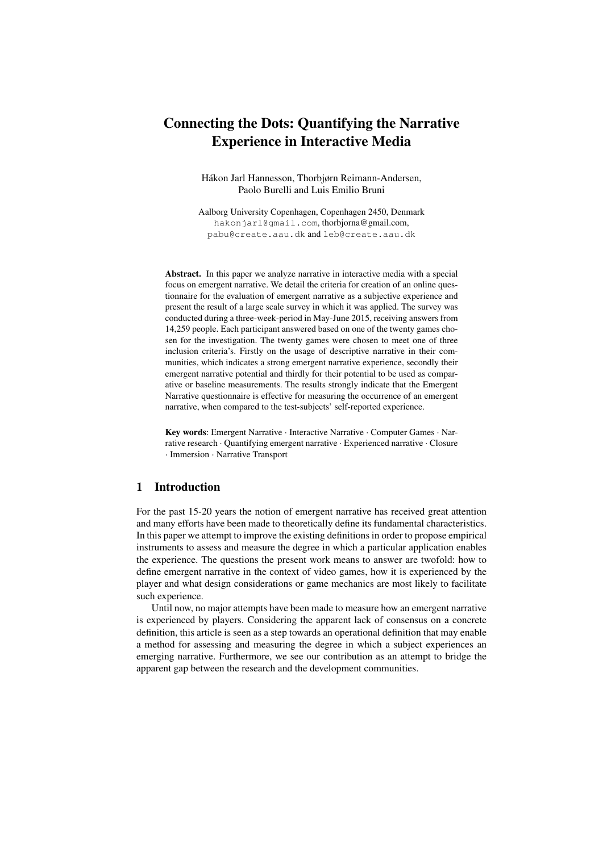# Connecting the Dots: Quantifying the Narrative Experience in Interactive Media

Hakon Jarl Hannesson, Thorbjørn Reimann-Andersen, ´ Paolo Burelli and Luis Emilio Bruni

Aalborg University Copenhagen, Copenhagen 2450, Denmark hakonjarl@gmail.com, thorbjorna@gmail.com, pabu@create.aau.dk and leb@create.aau.dk

Abstract. In this paper we analyze narrative in interactive media with a special focus on emergent narrative. We detail the criteria for creation of an online questionnaire for the evaluation of emergent narrative as a subjective experience and present the result of a large scale survey in which it was applied. The survey was conducted during a three-week-period in May-June 2015, receiving answers from 14,259 people. Each participant answered based on one of the twenty games chosen for the investigation. The twenty games were chosen to meet one of three inclusion criteria's. Firstly on the usage of descriptive narrative in their communities, which indicates a strong emergent narrative experience, secondly their emergent narrative potential and thirdly for their potential to be used as comparative or baseline measurements. The results strongly indicate that the Emergent Narrative questionnaire is effective for measuring the occurrence of an emergent narrative, when compared to the test-subjects' self-reported experience.

Key words: Emergent Narrative · Interactive Narrative · Computer Games · Narrative research · Quantifying emergent narrative · Experienced narrative · Closure · Immersion · Narrative Transport

# 1 Introduction

For the past 15-20 years the notion of emergent narrative has received great attention and many efforts have been made to theoretically define its fundamental characteristics. In this paper we attempt to improve the existing definitions in order to propose empirical instruments to assess and measure the degree in which a particular application enables the experience. The questions the present work means to answer are twofold: how to define emergent narrative in the context of video games, how it is experienced by the player and what design considerations or game mechanics are most likely to facilitate such experience.

Until now, no major attempts have been made to measure how an emergent narrative is experienced by players. Considering the apparent lack of consensus on a concrete definition, this article is seen as a step towards an operational definition that may enable a method for assessing and measuring the degree in which a subject experiences an emerging narrative. Furthermore, we see our contribution as an attempt to bridge the apparent gap between the research and the development communities.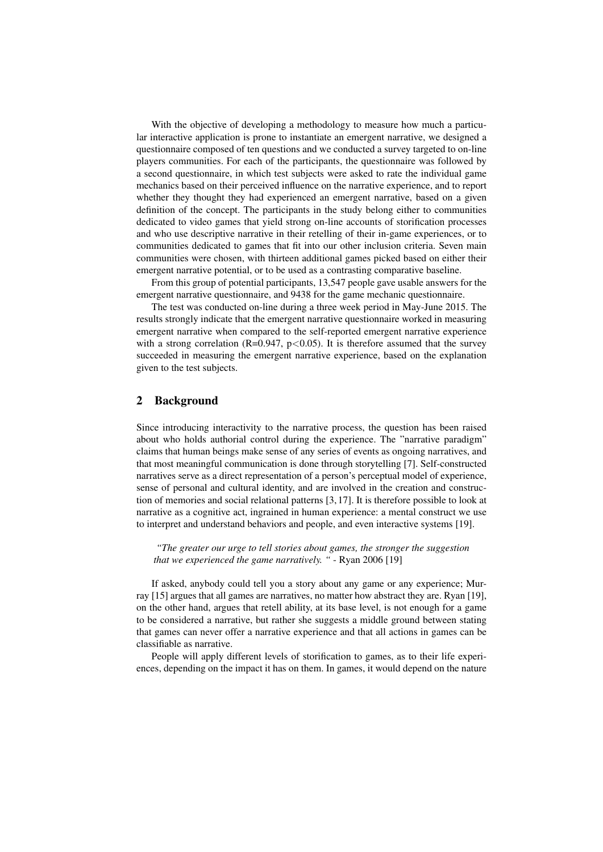With the objective of developing a methodology to measure how much a particular interactive application is prone to instantiate an emergent narrative, we designed a questionnaire composed of ten questions and we conducted a survey targeted to on-line players communities. For each of the participants, the questionnaire was followed by a second questionnaire, in which test subjects were asked to rate the individual game mechanics based on their perceived influence on the narrative experience, and to report whether they thought they had experienced an emergent narrative, based on a given definition of the concept. The participants in the study belong either to communities dedicated to video games that yield strong on-line accounts of storification processes and who use descriptive narrative in their retelling of their in-game experiences, or to communities dedicated to games that fit into our other inclusion criteria. Seven main communities were chosen, with thirteen additional games picked based on either their emergent narrative potential, or to be used as a contrasting comparative baseline.

From this group of potential participants, 13,547 people gave usable answers for the emergent narrative questionnaire, and 9438 for the game mechanic questionnaire.

The test was conducted on-line during a three week period in May-June 2015. The results strongly indicate that the emergent narrative questionnaire worked in measuring emergent narrative when compared to the self-reported emergent narrative experience with a strong correlation ( $R=0.947$ ,  $p<0.05$ ). It is therefore assumed that the survey succeeded in measuring the emergent narrative experience, based on the explanation given to the test subjects.

## 2 Background

Since introducing interactivity to the narrative process, the question has been raised about who holds authorial control during the experience. The "narrative paradigm" claims that human beings make sense of any series of events as ongoing narratives, and that most meaningful communication is done through storytelling [7]. Self-constructed narratives serve as a direct representation of a person's perceptual model of experience, sense of personal and cultural identity, and are involved in the creation and construction of memories and social relational patterns [3, 17]. It is therefore possible to look at narrative as a cognitive act, ingrained in human experience: a mental construct we use to interpret and understand behaviors and people, and even interactive systems [19].

*"The greater our urge to tell stories about games, the stronger the suggestion that we experienced the game narratively. "* - Ryan 2006 [19]

If asked, anybody could tell you a story about any game or any experience; Murray [15] argues that all games are narratives, no matter how abstract they are. Ryan [19], on the other hand, argues that retell ability, at its base level, is not enough for a game to be considered a narrative, but rather she suggests a middle ground between stating that games can never offer a narrative experience and that all actions in games can be classifiable as narrative.

People will apply different levels of storification to games, as to their life experiences, depending on the impact it has on them. In games, it would depend on the nature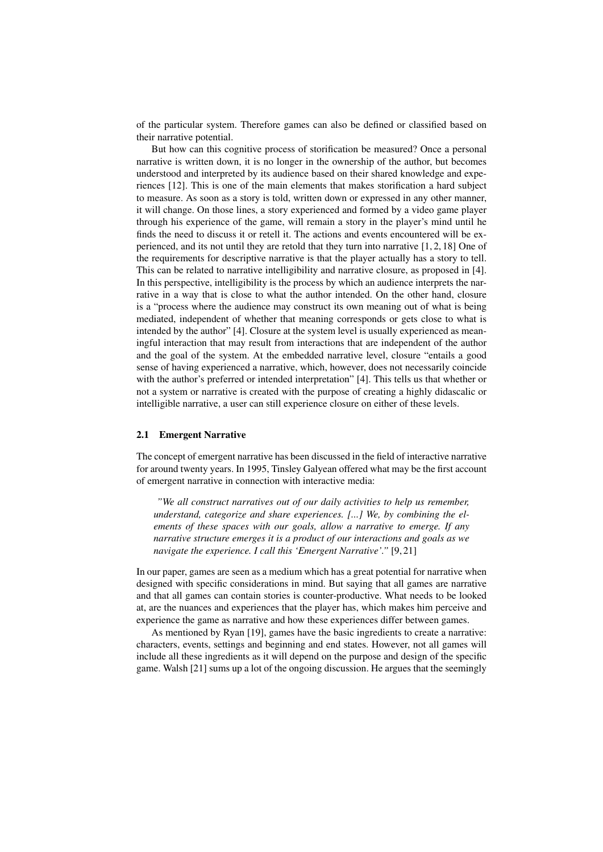of the particular system. Therefore games can also be defined or classified based on their narrative potential.

But how can this cognitive process of storification be measured? Once a personal narrative is written down, it is no longer in the ownership of the author, but becomes understood and interpreted by its audience based on their shared knowledge and experiences [12]. This is one of the main elements that makes storification a hard subject to measure. As soon as a story is told, written down or expressed in any other manner, it will change. On those lines, a story experienced and formed by a video game player through his experience of the game, will remain a story in the player's mind until he finds the need to discuss it or retell it. The actions and events encountered will be experienced, and its not until they are retold that they turn into narrative [1, 2, 18] One of the requirements for descriptive narrative is that the player actually has a story to tell. This can be related to narrative intelligibility and narrative closure, as proposed in [4]. In this perspective, intelligibility is the process by which an audience interprets the narrative in a way that is close to what the author intended. On the other hand, closure is a "process where the audience may construct its own meaning out of what is being mediated, independent of whether that meaning corresponds or gets close to what is intended by the author" [4]. Closure at the system level is usually experienced as meaningful interaction that may result from interactions that are independent of the author and the goal of the system. At the embedded narrative level, closure "entails a good sense of having experienced a narrative, which, however, does not necessarily coincide with the author's preferred or intended interpretation" [4]. This tells us that whether or not a system or narrative is created with the purpose of creating a highly didascalic or intelligible narrative, a user can still experience closure on either of these levels.

#### 2.1 Emergent Narrative

The concept of emergent narrative has been discussed in the field of interactive narrative for around twenty years. In 1995, Tinsley Galyean offered what may be the first account of emergent narrative in connection with interactive media:

*"We all construct narratives out of our daily activities to help us remember, understand, categorize and share experiences. [...] We, by combining the elements of these spaces with our goals, allow a narrative to emerge. If any narrative structure emerges it is a product of our interactions and goals as we navigate the experience. I call this 'Emergent Narrative'."* [9, 21]

In our paper, games are seen as a medium which has a great potential for narrative when designed with specific considerations in mind. But saying that all games are narrative and that all games can contain stories is counter-productive. What needs to be looked at, are the nuances and experiences that the player has, which makes him perceive and experience the game as narrative and how these experiences differ between games.

As mentioned by Ryan [19], games have the basic ingredients to create a narrative: characters, events, settings and beginning and end states. However, not all games will include all these ingredients as it will depend on the purpose and design of the specific game. Walsh [21] sums up a lot of the ongoing discussion. He argues that the seemingly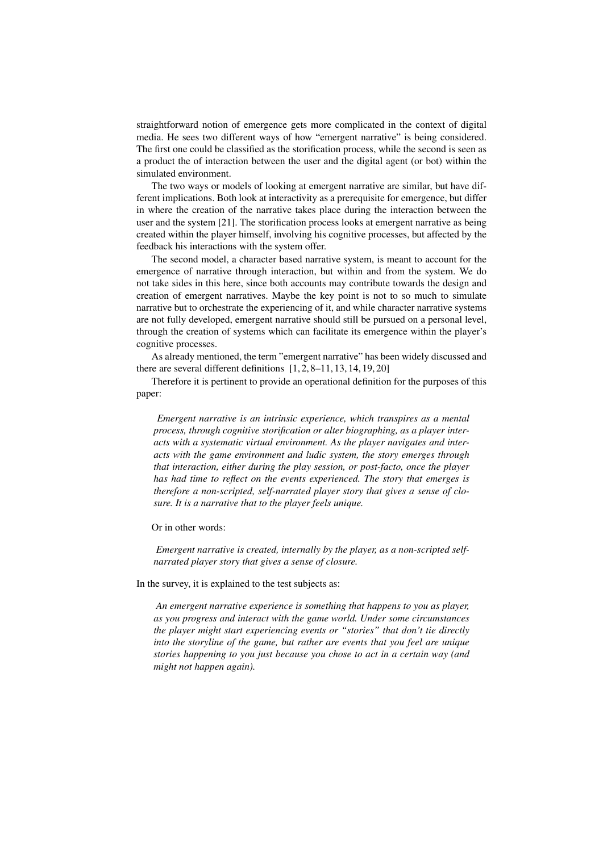straightforward notion of emergence gets more complicated in the context of digital media. He sees two different ways of how "emergent narrative" is being considered. The first one could be classified as the storification process, while the second is seen as a product the of interaction between the user and the digital agent (or bot) within the simulated environment.

The two ways or models of looking at emergent narrative are similar, but have different implications. Both look at interactivity as a prerequisite for emergence, but differ in where the creation of the narrative takes place during the interaction between the user and the system [21]. The storification process looks at emergent narrative as being created within the player himself, involving his cognitive processes, but affected by the feedback his interactions with the system offer.

The second model, a character based narrative system, is meant to account for the emergence of narrative through interaction, but within and from the system. We do not take sides in this here, since both accounts may contribute towards the design and creation of emergent narratives. Maybe the key point is not to so much to simulate narrative but to orchestrate the experiencing of it, and while character narrative systems are not fully developed, emergent narrative should still be pursued on a personal level, through the creation of systems which can facilitate its emergence within the player's cognitive processes.

As already mentioned, the term "emergent narrative" has been widely discussed and there are several different definitions  $[1, 2, 8-11, 13, 14, 19, 20]$ 

Therefore it is pertinent to provide an operational definition for the purposes of this paper:

*Emergent narrative is an intrinsic experience, which transpires as a mental process, through cognitive storification or alter biographing, as a player interacts with a systematic virtual environment. As the player navigates and interacts with the game environment and ludic system, the story emerges through that interaction, either during the play session, or post-facto, once the player has had time to reflect on the events experienced. The story that emerges is therefore a non-scripted, self-narrated player story that gives a sense of closure. It is a narrative that to the player feels unique.*

#### Or in other words:

*Emergent narrative is created, internally by the player, as a non-scripted selfnarrated player story that gives a sense of closure.*

In the survey, it is explained to the test subjects as:

*An emergent narrative experience is something that happens to you as player, as you progress and interact with the game world. Under some circumstances the player might start experiencing events or "stories" that don't tie directly into the storyline of the game, but rather are events that you feel are unique stories happening to you just because you chose to act in a certain way (and might not happen again).*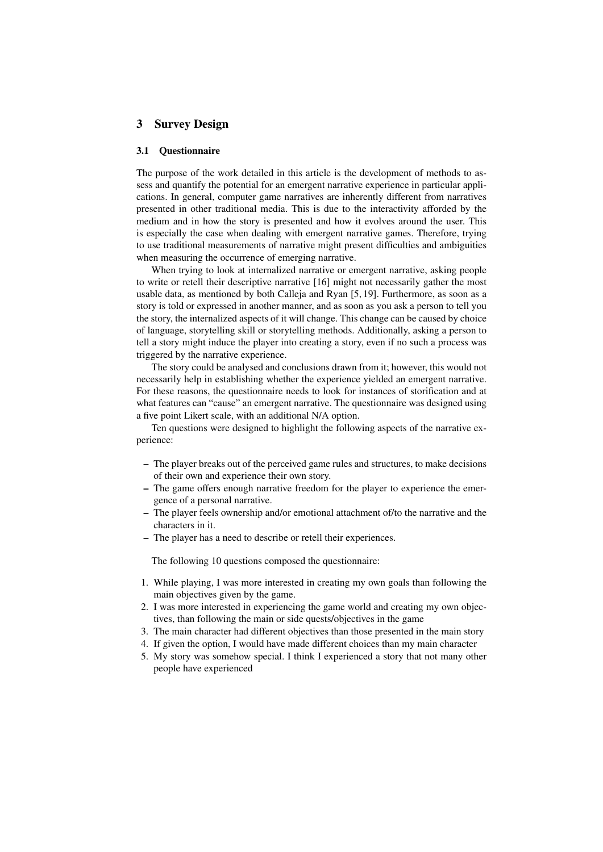# 3 Survey Design

## 3.1 Questionnaire

The purpose of the work detailed in this article is the development of methods to assess and quantify the potential for an emergent narrative experience in particular applications. In general, computer game narratives are inherently different from narratives presented in other traditional media. This is due to the interactivity afforded by the medium and in how the story is presented and how it evolves around the user. This is especially the case when dealing with emergent narrative games. Therefore, trying to use traditional measurements of narrative might present difficulties and ambiguities when measuring the occurrence of emerging narrative.

When trying to look at internalized narrative or emergent narrative, asking people to write or retell their descriptive narrative [16] might not necessarily gather the most usable data, as mentioned by both Calleja and Ryan [5, 19]. Furthermore, as soon as a story is told or expressed in another manner, and as soon as you ask a person to tell you the story, the internalized aspects of it will change. This change can be caused by choice of language, storytelling skill or storytelling methods. Additionally, asking a person to tell a story might induce the player into creating a story, even if no such a process was triggered by the narrative experience.

The story could be analysed and conclusions drawn from it; however, this would not necessarily help in establishing whether the experience yielded an emergent narrative. For these reasons, the questionnaire needs to look for instances of storification and at what features can "cause" an emergent narrative. The questionnaire was designed using a five point Likert scale, with an additional N/A option.

Ten questions were designed to highlight the following aspects of the narrative experience:

- The player breaks out of the perceived game rules and structures, to make decisions of their own and experience their own story.
- The game offers enough narrative freedom for the player to experience the emergence of a personal narrative.
- The player feels ownership and/or emotional attachment of/to the narrative and the characters in it.
- The player has a need to describe or retell their experiences.

The following 10 questions composed the questionnaire:

- 1. While playing, I was more interested in creating my own goals than following the main objectives given by the game.
- 2. I was more interested in experiencing the game world and creating my own objectives, than following the main or side quests/objectives in the game
- 3. The main character had different objectives than those presented in the main story
- 4. If given the option, I would have made different choices than my main character
- 5. My story was somehow special. I think I experienced a story that not many other people have experienced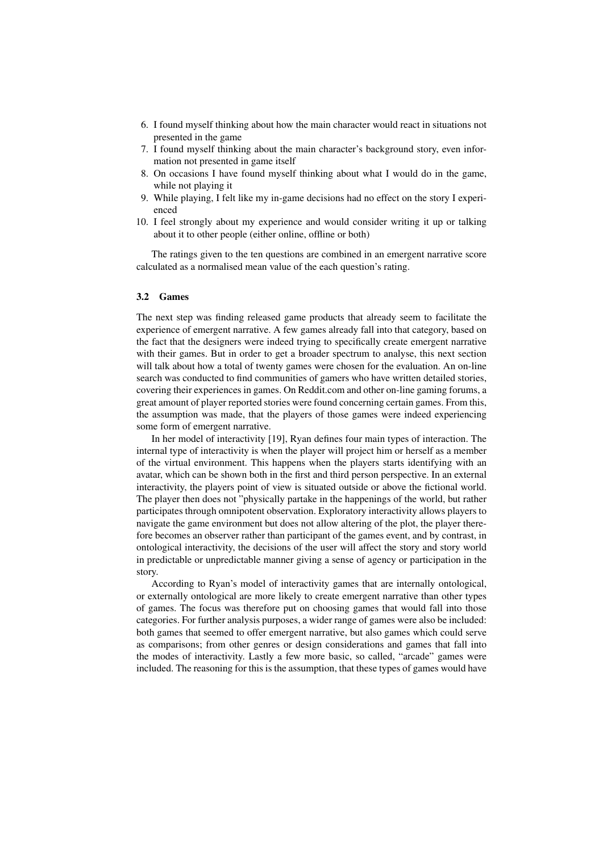- 6. I found myself thinking about how the main character would react in situations not presented in the game
- 7. I found myself thinking about the main character's background story, even information not presented in game itself
- 8. On occasions I have found myself thinking about what I would do in the game, while not playing it
- 9. While playing, I felt like my in-game decisions had no effect on the story I experienced
- 10. I feel strongly about my experience and would consider writing it up or talking about it to other people (either online, offline or both)

The ratings given to the ten questions are combined in an emergent narrative score calculated as a normalised mean value of the each question's rating.

### 3.2 Games

The next step was finding released game products that already seem to facilitate the experience of emergent narrative. A few games already fall into that category, based on the fact that the designers were indeed trying to specifically create emergent narrative with their games. But in order to get a broader spectrum to analyse, this next section will talk about how a total of twenty games were chosen for the evaluation. An on-line search was conducted to find communities of gamers who have written detailed stories, covering their experiences in games. On Reddit.com and other on-line gaming forums, a great amount of player reported stories were found concerning certain games. From this, the assumption was made, that the players of those games were indeed experiencing some form of emergent narrative.

In her model of interactivity [19], Ryan defines four main types of interaction. The internal type of interactivity is when the player will project him or herself as a member of the virtual environment. This happens when the players starts identifying with an avatar, which can be shown both in the first and third person perspective. In an external interactivity, the players point of view is situated outside or above the fictional world. The player then does not "physically partake in the happenings of the world, but rather participates through omnipotent observation. Exploratory interactivity allows players to navigate the game environment but does not allow altering of the plot, the player therefore becomes an observer rather than participant of the games event, and by contrast, in ontological interactivity, the decisions of the user will affect the story and story world in predictable or unpredictable manner giving a sense of agency or participation in the story.

According to Ryan's model of interactivity games that are internally ontological, or externally ontological are more likely to create emergent narrative than other types of games. The focus was therefore put on choosing games that would fall into those categories. For further analysis purposes, a wider range of games were also be included: both games that seemed to offer emergent narrative, but also games which could serve as comparisons; from other genres or design considerations and games that fall into the modes of interactivity. Lastly a few more basic, so called, "arcade" games were included. The reasoning for this is the assumption, that these types of games would have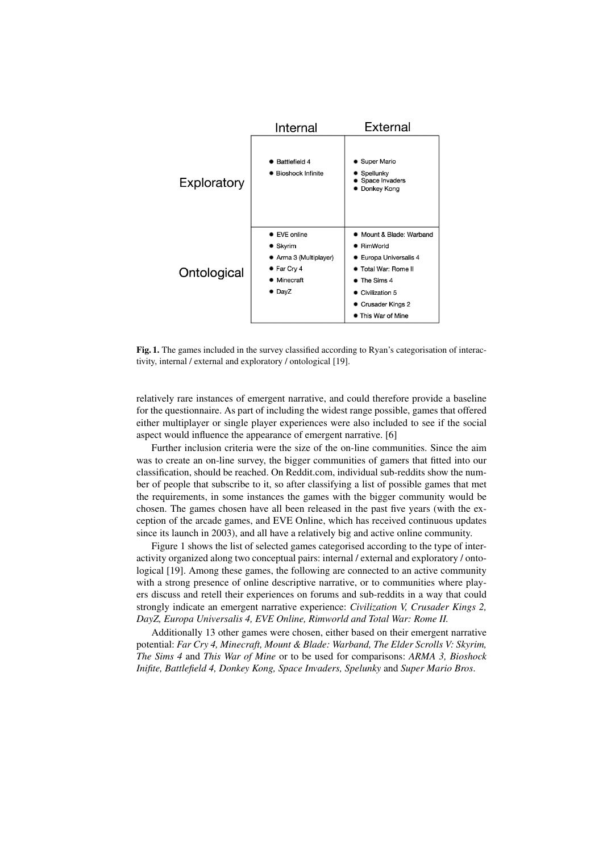

Fig. 1. The games included in the survey classified according to Ryan's categorisation of interactivity, internal / external and exploratory / ontological [19].

relatively rare instances of emergent narrative, and could therefore provide a baseline for the questionnaire. As part of including the widest range possible, games that offered either multiplayer or single player experiences were also included to see if the social aspect would influence the appearance of emergent narrative. [6]

Further inclusion criteria were the size of the on-line communities. Since the aim was to create an on-line survey, the bigger communities of gamers that fitted into our classification, should be reached. On Reddit.com, individual sub-reddits show the number of people that subscribe to it, so after classifying a list of possible games that met the requirements, in some instances the games with the bigger community would be chosen. The games chosen have all been released in the past five years (with the exception of the arcade games, and EVE Online, which has received continuous updates since its launch in 2003), and all have a relatively big and active online community.

Figure 1 shows the list of selected games categorised according to the type of interactivity organized along two conceptual pairs: internal / external and exploratory / ontological [19]. Among these games, the following are connected to an active community with a strong presence of online descriptive narrative, or to communities where players discuss and retell their experiences on forums and sub-reddits in a way that could strongly indicate an emergent narrative experience: *Civilization V, Crusader Kings 2, DayZ, Europa Universalis 4, EVE Online, Rimworld and Total War: Rome II.*

Additionally 13 other games were chosen, either based on their emergent narrative potential: *Far Cry 4, Minecraft, Mount & Blade: Warband, The Elder Scrolls V: Skyrim, The Sims 4* and *This War of Mine* or to be used for comparisons: *ARMA 3, Bioshock Inifite, Battlefield 4, Donkey Kong, Space Invaders, Spelunky* and *Super Mario Bros*.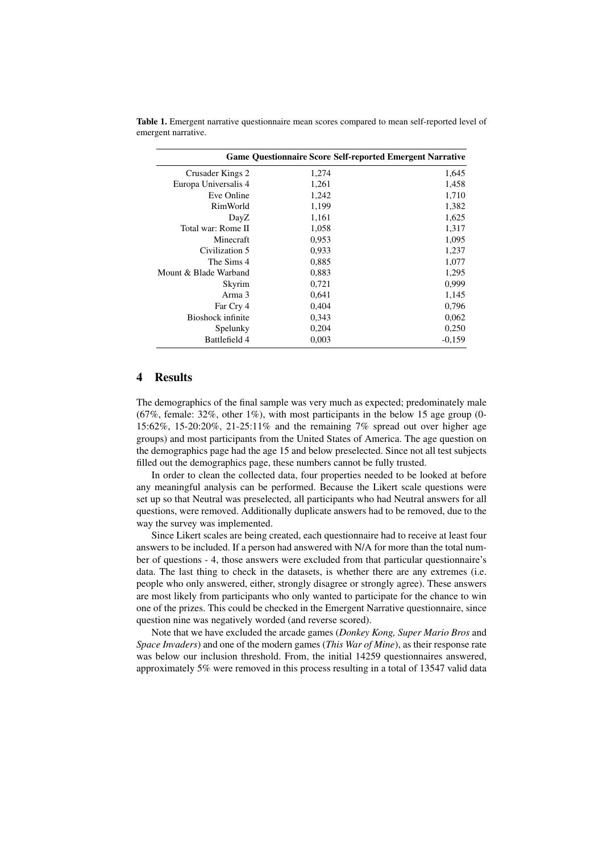| <b>Game Questionnaire Score Self-reported Emergent Narrative</b> |       |          |
|------------------------------------------------------------------|-------|----------|
| Crusader Kings 2                                                 | 1,274 | 1,645    |
| Europa Universalis 4                                             | 1,261 | 1,458    |
| Eve Online                                                       | 1,242 | 1,710    |
| RimWorld                                                         | 1,199 | 1,382    |
| DayZ                                                             | 1,161 | 1,625    |
| Total war: Rome II                                               | 1,058 | 1,317    |
| Minecraft                                                        | 0,953 | 1,095    |
| Civilization 5                                                   | 0,933 | 1,237    |
| The Sims 4                                                       | 0,885 | 1,077    |
| Mount & Blade Warband                                            | 0,883 | 1,295    |
| Skyrim                                                           | 0,721 | 0,999    |
| Arma 3                                                           | 0,641 | 1,145    |
| Far Cry 4                                                        | 0,404 | 0,796    |
| Bioshock infinite                                                | 0,343 | 0,062    |
| Spelunky                                                         | 0,204 | 0,250    |
| Battlefield 4                                                    | 0,003 | $-0.159$ |

Table 1. Emergent narrative questionnaire mean scores compared to mean self-reported level of emergent narrative.

#### 4 Results

The demographics of the final sample was very much as expected; predominately male  $(67\%$ , female: 32%, other 1%), with most participants in the below 15 age group (0-15:62%, 15-20:20%, 21-25:11% and the remaining 7% spread out over higher age groups) and most participants from the United States of America. The age question on the demographics page had the age 15 and below preselected. Since not all test subjects filled out the demographics page, these numbers cannot be fully trusted.

In order to clean the collected data, four properties needed to be looked at before any meaningful analysis can be performed. Because the Likert scale questions were set up so that Neutral was preselected, all participants who had Neutral answers for all questions, were removed. Additionally duplicate answers had to be removed, due to the way the survey was implemented.

Since Likert scales are being created, each questionnaire had to receive at least four answers to be included. If a person had answered with N/A for more than the total number of questions - 4, those answers were excluded from that particular questionnaire's data. The last thing to check in the datasets, is whether there are any extremes (i.e. people who only answered, either, strongly disagree or strongly agree). These answers are most likely from participants who only wanted to participate for the chance to win one of the prizes. This could be checked in the Emergent Narrative questionnaire, since question nine was negatively worded (and reverse scored).

Note that we have excluded the arcade games (*Donkey Kong, Super Mario Bros* and *Space Invaders*) and one of the modern games (*This War of Mine*), as their response rate was below our inclusion threshold. From, the initial 14259 questionnaires answered, approximately 5% were removed in this process resulting in a total of 13547 valid data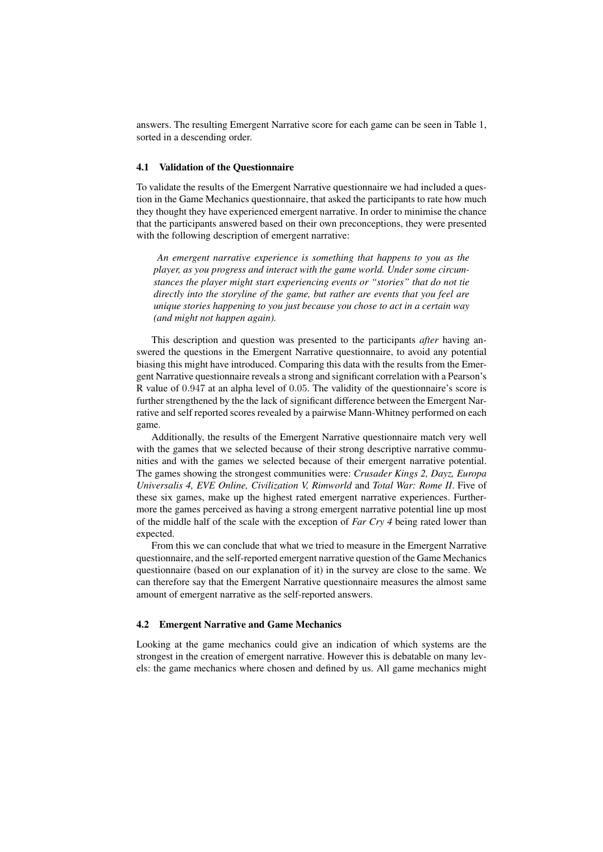answers. The resulting Emergent Narrative score for each game can be seen in Table 1, sorted in a descending order.

#### 4.1 Validation of the Questionnaire

To validate the results of the Emergent Narrative questionnaire we had included a question in the Game Mechanics questionnaire, that asked the participants to rate how much they thought they have experienced emergent narrative. In order to minimise the chance that the participants answered based on their own preconceptions, they were presented with the following description of emergent narrative:

*An emergent narrative experience is something that happens to you as the player, as you progress and interact with the game world. Under some circumstances the player might start experiencing events or "stories" that do not tie directly into the storyline of the game, but rather are events that you feel are unique stories happening to you just because you chose to act in a certain way (and might not happen again).*

This description and question was presented to the participants *after* having answered the questions in the Emergent Narrative questionnaire, to avoid any potential biasing this might have introduced. Comparing this data with the results from the Emergent Narrative questionnaire reveals a strong and significant correlation with a Pearson's R value of 0.947 at an alpha level of 0.05. The validity of the questionnaire's score is further strengthened by the the lack of significant difference between the Emergent Narrative and self reported scores revealed by a pairwise Mann-Whitney performed on each game.

Additionally, the results of the Emergent Narrative questionnaire match very well with the games that we selected because of their strong descriptive narrative communities and with the games we selected because of their emergent narrative potential. The games showing the strongest communities were: *Crusader Kings 2, Dayz, Europa Universalis 4, EVE Online, Civilization V, Rimworld* and *Total War: Rome II*. Five of these six games, make up the highest rated emergent narrative experiences. Furthermore the games perceived as having a strong emergent narrative potential line up most of the middle half of the scale with the exception of *Far Cry 4* being rated lower than expected.

From this we can conclude that what we tried to measure in the Emergent Narrative questionnaire, and the self-reported emergent narrative question of the Game Mechanics questionnaire (based on our explanation of it) in the survey are close to the same. We can therefore say that the Emergent Narrative questionnaire measures the almost same amount of emergent narrative as the self-reported answers.

#### 4.2 Emergent Narrative and Game Mechanics

Looking at the game mechanics could give an indication of which systems are the strongest in the creation of emergent narrative. However this is debatable on many levels: the game mechanics where chosen and defined by us. All game mechanics might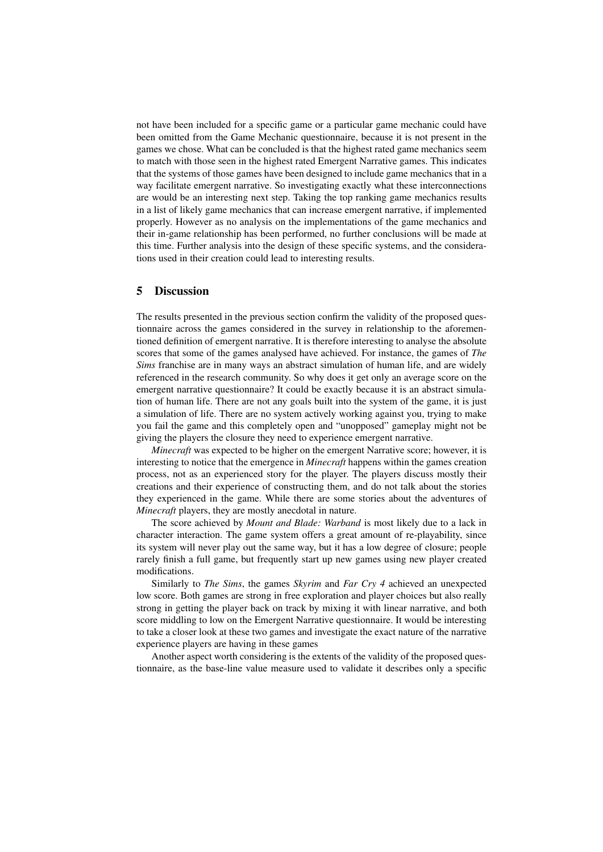not have been included for a specific game or a particular game mechanic could have been omitted from the Game Mechanic questionnaire, because it is not present in the games we chose. What can be concluded is that the highest rated game mechanics seem to match with those seen in the highest rated Emergent Narrative games. This indicates that the systems of those games have been designed to include game mechanics that in a way facilitate emergent narrative. So investigating exactly what these interconnections are would be an interesting next step. Taking the top ranking game mechanics results in a list of likely game mechanics that can increase emergent narrative, if implemented properly. However as no analysis on the implementations of the game mechanics and their in-game relationship has been performed, no further conclusions will be made at this time. Further analysis into the design of these specific systems, and the considerations used in their creation could lead to interesting results.

## 5 Discussion

The results presented in the previous section confirm the validity of the proposed questionnaire across the games considered in the survey in relationship to the aforementioned definition of emergent narrative. It is therefore interesting to analyse the absolute scores that some of the games analysed have achieved. For instance, the games of *The Sims* franchise are in many ways an abstract simulation of human life, and are widely referenced in the research community. So why does it get only an average score on the emergent narrative questionnaire? It could be exactly because it is an abstract simulation of human life. There are not any goals built into the system of the game, it is just a simulation of life. There are no system actively working against you, trying to make you fail the game and this completely open and "unopposed" gameplay might not be giving the players the closure they need to experience emergent narrative.

*Minecraft* was expected to be higher on the emergent Narrative score; however, it is interesting to notice that the emergence in *Minecraft* happens within the games creation process, not as an experienced story for the player. The players discuss mostly their creations and their experience of constructing them, and do not talk about the stories they experienced in the game. While there are some stories about the adventures of *Minecraft* players, they are mostly anecdotal in nature.

The score achieved by *Mount and Blade: Warband* is most likely due to a lack in character interaction. The game system offers a great amount of re-playability, since its system will never play out the same way, but it has a low degree of closure; people rarely finish a full game, but frequently start up new games using new player created modifications.

Similarly to *The Sims*, the games *Skyrim* and *Far Cry 4* achieved an unexpected low score. Both games are strong in free exploration and player choices but also really strong in getting the player back on track by mixing it with linear narrative, and both score middling to low on the Emergent Narrative questionnaire. It would be interesting to take a closer look at these two games and investigate the exact nature of the narrative experience players are having in these games

Another aspect worth considering is the extents of the validity of the proposed questionnaire, as the base-line value measure used to validate it describes only a specific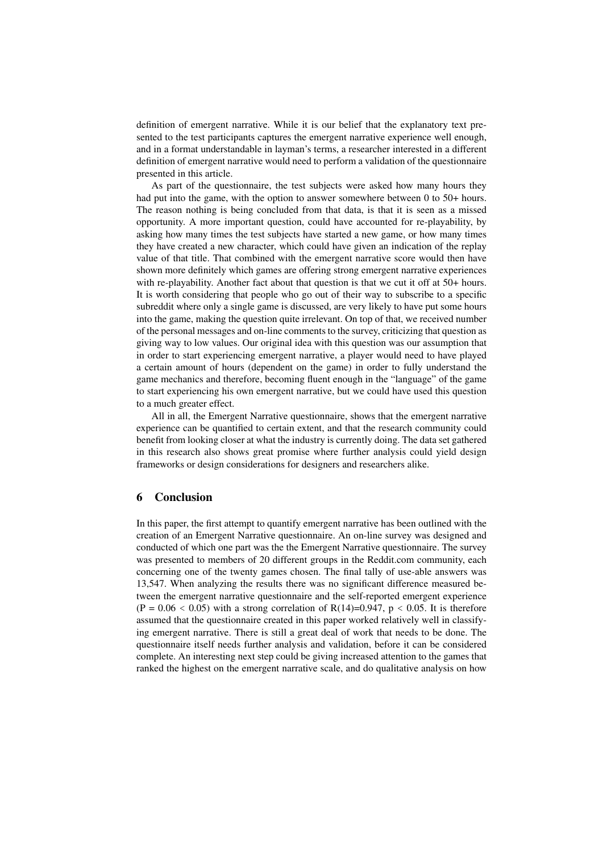definition of emergent narrative. While it is our belief that the explanatory text presented to the test participants captures the emergent narrative experience well enough, and in a format understandable in layman's terms, a researcher interested in a different definition of emergent narrative would need to perform a validation of the questionnaire presented in this article.

As part of the questionnaire, the test subjects were asked how many hours they had put into the game, with the option to answer somewhere between 0 to 50+ hours. The reason nothing is being concluded from that data, is that it is seen as a missed opportunity. A more important question, could have accounted for re-playability, by asking how many times the test subjects have started a new game, or how many times they have created a new character, which could have given an indication of the replay value of that title. That combined with the emergent narrative score would then have shown more definitely which games are offering strong emergent narrative experiences with re-playability. Another fact about that question is that we cut it off at 50+ hours. It is worth considering that people who go out of their way to subscribe to a specific subreddit where only a single game is discussed, are very likely to have put some hours into the game, making the question quite irrelevant. On top of that, we received number of the personal messages and on-line comments to the survey, criticizing that question as giving way to low values. Our original idea with this question was our assumption that in order to start experiencing emergent narrative, a player would need to have played a certain amount of hours (dependent on the game) in order to fully understand the game mechanics and therefore, becoming fluent enough in the "language" of the game to start experiencing his own emergent narrative, but we could have used this question to a much greater effect.

All in all, the Emergent Narrative questionnaire, shows that the emergent narrative experience can be quantified to certain extent, and that the research community could benefit from looking closer at what the industry is currently doing. The data set gathered in this research also shows great promise where further analysis could yield design frameworks or design considerations for designers and researchers alike.

#### 6 Conclusion

In this paper, the first attempt to quantify emergent narrative has been outlined with the creation of an Emergent Narrative questionnaire. An on-line survey was designed and conducted of which one part was the the Emergent Narrative questionnaire. The survey was presented to members of 20 different groups in the Reddit.com community, each concerning one of the twenty games chosen. The final tally of use-able answers was 13,547. When analyzing the results there was no significant difference measured between the emergent narrative questionnaire and the self-reported emergent experience  $(P = 0.06 \le 0.05)$  with a strong correlation of R(14)=0.947, p < 0.05. It is therefore assumed that the questionnaire created in this paper worked relatively well in classifying emergent narrative. There is still a great deal of work that needs to be done. The questionnaire itself needs further analysis and validation, before it can be considered complete. An interesting next step could be giving increased attention to the games that ranked the highest on the emergent narrative scale, and do qualitative analysis on how